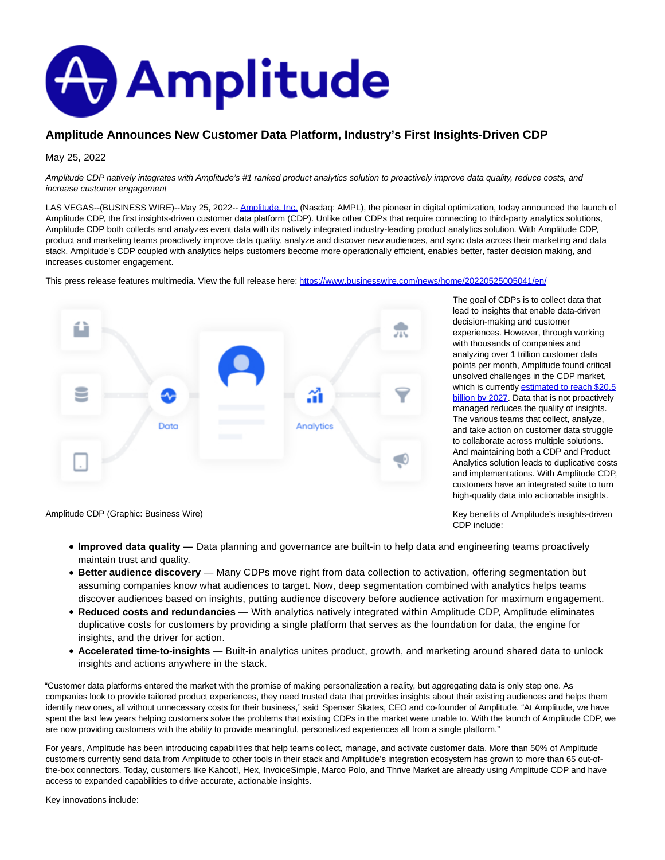

## **Amplitude Announces New Customer Data Platform, Industry's First Insights-Driven CDP**

May 25, 2022

Amplitude CDP natively integrates with Amplitude's #1 ranked product analytics solution to proactively improve data quality, reduce costs, and increase customer engagement

LAS VEGAS--(BUSINESS WIRE)--May 25, 2022-[- Amplitude, Inc. \(](https://cts.businesswire.com/ct/CT?id=smartlink&url=https%3A%2F%2Famplitude.com&esheet=52726440&newsitemid=20220525005041&lan=en-US&anchor=Amplitude%2C+Inc.&index=1&md5=def7855a230fa4789d0a625c2959c924)Nasdaq: AMPL), the pioneer in digital optimization, today announced the launch of Amplitude CDP, the first insights-driven customer data platform (CDP). Unlike other CDPs that require connecting to third-party analytics solutions, Amplitude CDP both collects and analyzes event data with its natively integrated industry-leading product analytics solution. With Amplitude CDP, product and marketing teams proactively improve data quality, analyze and discover new audiences, and sync data across their marketing and data stack. Amplitude's CDP coupled with analytics helps customers become more operationally efficient, enables better, faster decision making, and increases customer engagement.

This press release features multimedia. View the full release here:<https://www.businesswire.com/news/home/20220525005041/en/>



The goal of CDPs is to collect data that lead to insights that enable data-driven decision-making and customer experiences. However, through working with thousands of companies and analyzing over 1 trillion customer data points per month, Amplitude found critical unsolved challenges in the CDP market, whic[h is currently estimated to reach \\$20.5](https://cts.businesswire.com/ct/CT?id=smartlink&url=https%3A%2F%2Fwww.researchandmarkets.com%2Freports%2F5472866%2Fglobal-customer-data-platform-market-by&esheet=52726440&newsitemid=20220525005041&lan=en-US&anchor=estimated+to+reach+%2420.5+billion+by+2027&index=2&md5=9cd1d0db381fcd32bfaf95f9b9c241be) billion by 2027. Data that is not proactively managed reduces the quality of insights. The various teams that collect, analyze, and take action on customer data struggle to collaborate across multiple solutions. And maintaining both a CDP and Product Analytics solution leads to duplicative costs and implementations. With Amplitude CDP, customers have an integrated suite to turn high-quality data into actionable insights.

Key benefits of Amplitude's insights-driven

CDP include:

Amplitude CDP (Graphic: Business Wire)

- **Improved data quality**  Data planning and governance are built-in to help data and engineering teams proactively maintain trust and quality.
- **Better audience discovery** Many CDPs move right from data collection to activation, offering segmentation but assuming companies know what audiences to target. Now, deep segmentation combined with analytics helps teams discover audiences based on insights, putting audience discovery before audience activation for maximum engagement.
- **Reduced costs and redundancies** With analytics natively integrated within Amplitude CDP, Amplitude eliminates duplicative costs for customers by providing a single platform that serves as the foundation for data, the engine for insights, and the driver for action.
- **Accelerated time-to-insights** Built-in analytics unites product, growth, and marketing around shared data to unlock insights and actions anywhere in the stack.

"Customer data platforms entered the market with the promise of making personalization a reality, but aggregating data is only step one. As companies look to provide tailored product experiences, they need trusted data that provides insights about their existing audiences and helps them identify new ones, all without unnecessary costs for their business," said Spenser Skates, CEO and co-founder of Amplitude. "At Amplitude, we have spent the last few years helping customers solve the problems that existing CDPs in the market were unable to. With the launch of Amplitude CDP, we are now providing customers with the ability to provide meaningful, personalized experiences all from a single platform."

For years, Amplitude has been introducing capabilities that help teams collect, manage, and activate customer data. More than 50% of Amplitude customers currently send data from Amplitude to other tools in their stack and Amplitude's integration ecosystem has grown to more than 65 out-ofthe-box connectors. Today, customers like Kahoot!, Hex, InvoiceSimple, Marco Polo, and Thrive Market are already using Amplitude CDP and have access to expanded capabilities to drive accurate, actionable insights.

Key innovations include: